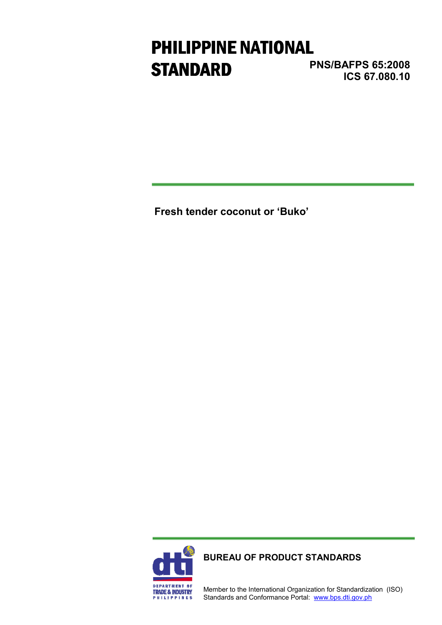# PHILIPPINE NATIONAL **STANDARD**

PNS/BAFPS 65:2008 ICS 67.080.10

Fresh tender coconut or 'Buko'



BUREAU OF PRODUCT STANDARDS

Member to the International Organization for Standardization (ISO) Standards and Conformance Portal: www.bps.dti.gov.ph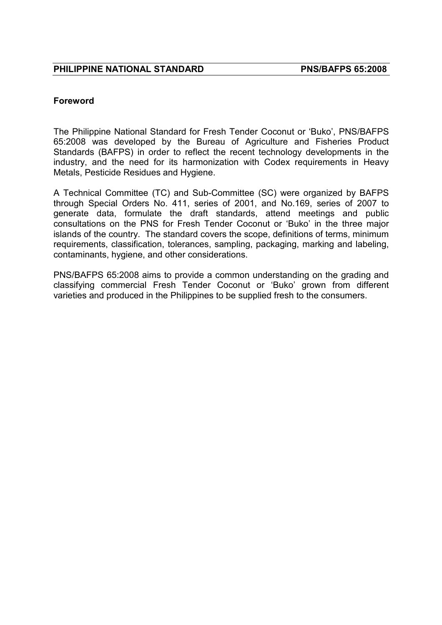#### Foreword

The Philippine National Standard for Fresh Tender Coconut or 'Buko', PNS/BAFPS 65:2008 was developed by the Bureau of Agriculture and Fisheries Product Standards (BAFPS) in order to reflect the recent technology developments in the industry, and the need for its harmonization with Codex requirements in Heavy Metals, Pesticide Residues and Hygiene.

A Technical Committee (TC) and Sub-Committee (SC) were organized by BAFPS through Special Orders No. 411, series of 2001, and No.169, series of 2007 to generate data, formulate the draft standards, attend meetings and public consultations on the PNS for Fresh Tender Coconut or 'Buko' in the three major islands of the country. The standard covers the scope, definitions of terms, minimum requirements, classification, tolerances, sampling, packaging, marking and labeling, contaminants, hygiene, and other considerations.

PNS/BAFPS 65:2008 aims to provide a common understanding on the grading and classifying commercial Fresh Tender Coconut or 'Buko' grown from different varieties and produced in the Philippines to be supplied fresh to the consumers.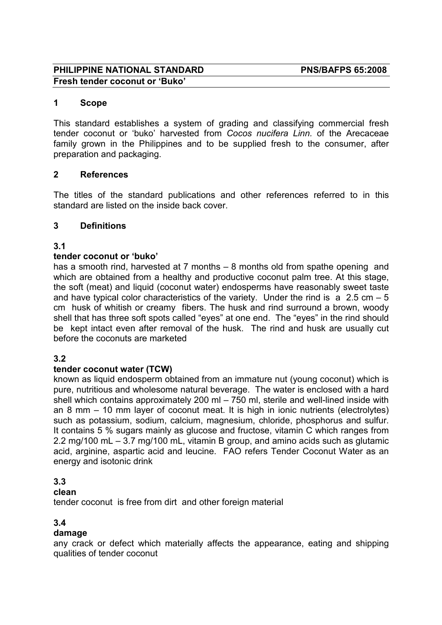#### PHILIPPINE NATIONAL STANDARD PNS/BAFPS 65:2008 Fresh tender coconut or 'Buko'

#### 1 Scope

This standard establishes a system of grading and classifying commercial fresh tender coconut or 'buko' harvested from Cocos nucifera Linn. of the Arecaceae family grown in the Philippines and to be supplied fresh to the consumer, after preparation and packaging.

#### 2 References

The titles of the standard publications and other references referred to in this standard are listed on the inside back cover.

#### 3 Definitions

#### 3.1

#### tender coconut or 'buko'

has a smooth rind, harvested at 7 months – 8 months old from spathe opening and which are obtained from a healthy and productive coconut palm tree. At this stage, the soft (meat) and liquid (coconut water) endosperms have reasonably sweet taste and have typical color characteristics of the variety. Under the rind is  $a$  2.5 cm  $-5$ cm husk of whitish or creamy fibers. The husk and rind surround a brown, woody shell that has three soft spots called "eyes" at one end. The "eyes" in the rind should be kept intact even after removal of the husk. The rind and husk are usually cut before the coconuts are marketed

#### 3.2

#### tender coconut water (TCW)

known as liquid endosperm obtained from an immature nut (young coconut) which is pure, nutritious and wholesome natural beverage. The water is enclosed with a hard shell which contains approximately 200 ml – 750 ml, sterile and well-lined inside with an 8 mm – 10 mm layer of coconut meat. It is high in ionic nutrients (electrolytes) such as potassium, sodium, calcium, magnesium, chloride, phosphorus and sulfur. It contains 5 % sugars mainly as glucose and fructose, vitamin C which ranges from 2.2 mg/100 mL – 3.7 mg/100 mL, vitamin B group, and amino acids such as glutamic acid, arginine, aspartic acid and leucine. FAO refers Tender Coconut Water as an energy and isotonic drink

#### 3.3

#### clean

tender coconut is free from dirt and other foreign material

#### 3.4

#### damage

any crack or defect which materially affects the appearance, eating and shipping qualities of tender coconut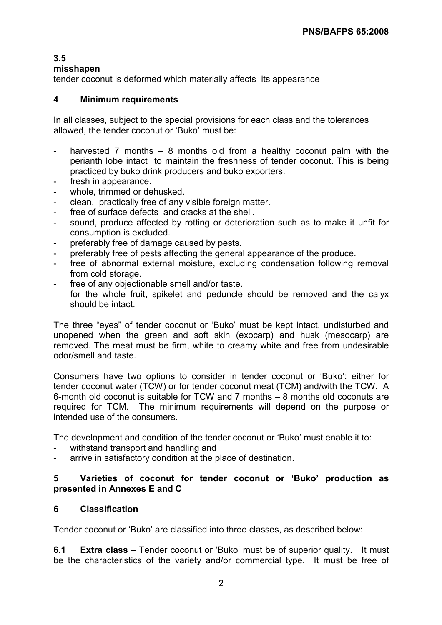### 3.5

#### misshapen

tender coconut is deformed which materially affects its appearance

#### 4 Minimum requirements

In all classes, subject to the special provisions for each class and the tolerances allowed, the tender coconut or 'Buko' must be:

- harvested 7 months  $-$  8 months old from a healthy coconut palm with the perianth lobe intact to maintain the freshness of tender coconut. This is being practiced by buko drink producers and buko exporters.
- fresh in appearance.
- whole, trimmed or dehusked.
- clean, practically free of any visible foreign matter.
- free of surface defects and cracks at the shell.
- sound, produce affected by rotting or deterioration such as to make it unfit for consumption is excluded.
- preferably free of damage caused by pests.
- preferably free of pests affecting the general appearance of the produce.
- free of abnormal external moisture, excluding condensation following removal from cold storage.
- free of any objectionable smell and/or taste.
- for the whole fruit, spikelet and peduncle should be removed and the calyx should be intact.

The three "eyes" of tender coconut or 'Buko' must be kept intact, undisturbed and unopened when the green and soft skin (exocarp) and husk (mesocarp) are removed. The meat must be firm, white to creamy white and free from undesirable odor/smell and taste.

Consumers have two options to consider in tender coconut or 'Buko': either for tender coconut water (TCW) or for tender coconut meat (TCM) and/with the TCW. A 6-month old coconut is suitable for TCW and 7 months – 8 months old coconuts are required for TCM. The minimum requirements will depend on the purpose or intended use of the consumers.

The development and condition of the tender coconut or 'Buko' must enable it to:

- withstand transport and handling and
- arrive in satisfactory condition at the place of destination.

#### 5 Varieties of coconut for tender coconut or 'Buko' production as presented in Annexes E and C

### 6 Classification

Tender coconut or 'Buko' are classified into three classes, as described below:

6.1 Extra class – Tender coconut or 'Buko' must be of superior quality. It must be the characteristics of the variety and/or commercial type. It must be free of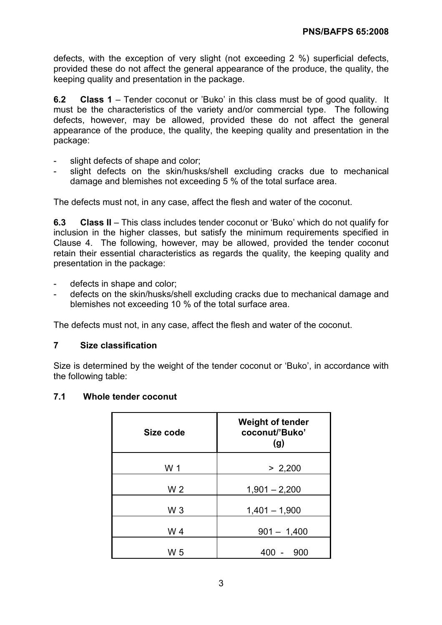defects, with the exception of very slight (not exceeding 2 %) superficial defects, provided these do not affect the general appearance of the produce, the quality, the keeping quality and presentation in the package.

6.2 Class 1 – Tender coconut or 'Buko' in this class must be of good quality. It must be the characteristics of the variety and/or commercial type. The following defects, however, may be allowed, provided these do not affect the general appearance of the produce, the quality, the keeping quality and presentation in the package:

- slight defects of shape and color;
- slight defects on the skin/husks/shell excluding cracks due to mechanical damage and blemishes not exceeding 5 % of the total surface area.

The defects must not, in any case, affect the flesh and water of the coconut.

6.3 Class II – This class includes tender coconut or 'Buko' which do not qualify for inclusion in the higher classes, but satisfy the minimum requirements specified in Clause 4. The following, however, may be allowed, provided the tender coconut retain their essential characteristics as regards the quality, the keeping quality and presentation in the package:

- defects in shape and color;
- defects on the skin/husks/shell excluding cracks due to mechanical damage and blemishes not exceeding 10 % of the total surface area.

The defects must not, in any case, affect the flesh and water of the coconut.

#### 7 Size classification

Size is determined by the weight of the tender coconut or 'Buko', in accordance with the following table:

#### 7.1 Whole tender coconut

| Size code | <b>Weight of tender</b><br>coconut/'Buko'<br>(g) |
|-----------|--------------------------------------------------|
| W 1       | > 2,200                                          |
| W 2       | $1,901 - 2,200$                                  |
| $W_3$     | $1,401 - 1,900$                                  |
| W 4       | $901 - 1,400$                                    |
| W 5       | 900<br>40                                        |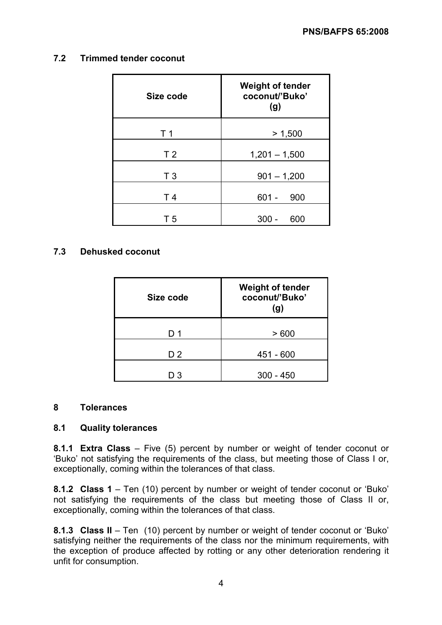#### 7.2 Trimmed tender coconut

| Size code      | <b>Weight of tender</b><br>coconut/'Buko'<br>(g) |  |  |  |  |
|----------------|--------------------------------------------------|--|--|--|--|
| T 1            | > 1,500                                          |  |  |  |  |
| T <sub>2</sub> | $1,201 - 1,500$                                  |  |  |  |  |
| T <sub>3</sub> | $901 - 1,200$                                    |  |  |  |  |
| T <sub>4</sub> | $601 -$<br>900                                   |  |  |  |  |
| T 5            | 600<br>30                                        |  |  |  |  |

#### 7.3 Dehusked coconut

| Size code      | <b>Weight of tender</b><br>coconut/'Buko'<br>(g) |
|----------------|--------------------------------------------------|
| D 1            | >600                                             |
| D <sub>2</sub> | 451 - 600                                        |
| -3             | $300 - 450$                                      |

#### 8 Tolerances

#### 8.1 Quality tolerances

8.1.1 Extra Class – Five (5) percent by number or weight of tender coconut or 'Buko' not satisfying the requirements of the class, but meeting those of Class I or, exceptionally, coming within the tolerances of that class.

8.1.2 Class 1 – Ten (10) percent by number or weight of tender coconut or 'Buko' not satisfying the requirements of the class but meeting those of Class II or, exceptionally, coming within the tolerances of that class.

8.1.3 Class II – Ten (10) percent by number or weight of tender coconut or 'Buko' satisfying neither the requirements of the class nor the minimum requirements, with the exception of produce affected by rotting or any other deterioration rendering it unfit for consumption.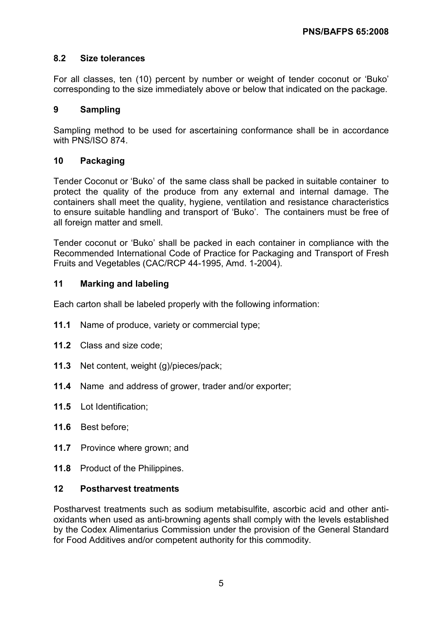#### 8.2 Size tolerances

For all classes, ten (10) percent by number or weight of tender coconut or 'Buko' corresponding to the size immediately above or below that indicated on the package.

#### 9 Sampling

Sampling method to be used for ascertaining conformance shall be in accordance with PNS/ISO 874.

#### 10 Packaging

Tender Coconut or 'Buko' of the same class shall be packed in suitable container to protect the quality of the produce from any external and internal damage. The containers shall meet the quality, hygiene, ventilation and resistance characteristics to ensure suitable handling and transport of 'Buko'. The containers must be free of all foreign matter and smell.

Tender coconut or 'Buko' shall be packed in each container in compliance with the Recommended International Code of Practice for Packaging and Transport of Fresh Fruits and Vegetables (CAC/RCP 44-1995, Amd. 1-2004).

#### 11 Marking and labeling

Each carton shall be labeled properly with the following information:

- 11.1 Name of produce, variety or commercial type:
- 11.2 Class and size code;
- 11.3 Net content, weight (g)/pieces/pack;
- 11.4 Name and address of grower, trader and/or exporter;
- 11.5 Lot Identification;
- 11.6 Best before;
- 11.7 Province where grown; and
- 11.8 Product of the Philippines.

#### 12 Postharvest treatments

Postharvest treatments such as sodium metabisulfite, ascorbic acid and other antioxidants when used as anti-browning agents shall comply with the levels established by the Codex Alimentarius Commission under the provision of the General Standard for Food Additives and/or competent authority for this commodity.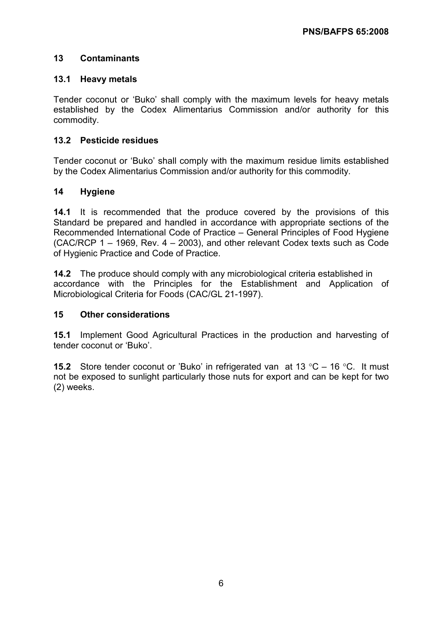#### 13 Contaminants

#### 13.1 Heavy metals

Tender coconut or 'Buko' shall comply with the maximum levels for heavy metals established by the Codex Alimentarius Commission and/or authority for this commodity.

#### 13.2 Pesticide residues

Tender coconut or 'Buko' shall comply with the maximum residue limits established by the Codex Alimentarius Commission and/or authority for this commodity.

#### 14 Hygiene

14.1 It is recommended that the produce covered by the provisions of this Standard be prepared and handled in accordance with appropriate sections of the Recommended International Code of Practice – General Principles of Food Hygiene (CAC/RCP 1 – 1969, Rev. 4 – 2003), and other relevant Codex texts such as Code of Hygienic Practice and Code of Practice.

14.2 The produce should comply with any microbiological criteria established in accordance with the Principles for the Establishment and Application of Microbiological Criteria for Foods (CAC/GL 21-1997).

#### 15 Other considerations

15.1 Implement Good Agricultural Practices in the production and harvesting of tender coconut or 'Buko'.

**15.2** Store tender coconut or 'Buko' in refrigerated van at 13 °C – 16 °C. It must not be exposed to sunlight particularly those nuts for export and can be kept for two (2) weeks. ľ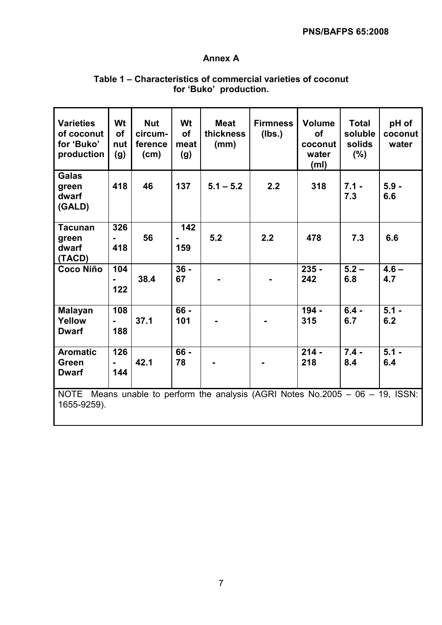#### PNS/BAFPS 65:2008

#### Annex A

| <b>Varieties</b><br>of coconut<br>for 'Buko'<br>production                                    | Wt<br><b>of</b><br>nut<br>(g) | <b>Nut</b><br>circum-<br>ference<br>(cm) | Wt<br><b>of</b><br>meat<br>(g) | <b>Meat</b><br>thickness<br>(mm) | <b>Firmness</b><br>(Ibs.) | <b>Volume</b><br><b>of</b><br>coconut<br>water<br>(m <sub>l</sub> ) | <b>Total</b><br>soluble<br>solids<br>$(\% )$ | pH of<br>coconut<br>water |
|-----------------------------------------------------------------------------------------------|-------------------------------|------------------------------------------|--------------------------------|----------------------------------|---------------------------|---------------------------------------------------------------------|----------------------------------------------|---------------------------|
| <b>Galas</b><br>green<br>dwarf<br>(GALD)                                                      | 418                           | 46                                       | 137                            | $5.1 - 5.2$                      | 2.2                       | 318                                                                 | $7.1 -$<br>7.3                               | $5.9 -$<br>6.6            |
| <b>Tacunan</b><br>green                                                                       | 326                           | 56                                       | 142                            | 5.2                              | 2.2                       | 478                                                                 | 7.3                                          | 6.6                       |
| dwarf<br>(TACD)                                                                               | 418                           |                                          | 159                            |                                  |                           |                                                                     |                                              |                           |
| Coco Niño                                                                                     | 104<br>$\blacksquare$<br>122  | 38.4                                     | $36 -$<br>67                   |                                  |                           | $235 -$<br>242                                                      | $5.2 -$<br>6.8                               | $4.6 -$<br>4.7            |
| <b>Malayan</b><br>Yellow<br><b>Dwarf</b>                                                      | 108<br>$\blacksquare$<br>188  | 37.1                                     | 66 -<br>101                    |                                  |                           | $194 -$<br>315                                                      | $6.4 -$<br>6.7                               | $5.1 -$<br>6.2            |
| <b>Aromatic</b><br><b>Green</b><br><b>Dwarf</b>                                               | 126<br>144                    | 42.1                                     | $66 -$<br>78                   |                                  |                           | $214 -$<br>218                                                      | $7.4 -$<br>8.4                               | $5.1 -$<br>6.4            |
| NOTE Means unable to perform the analysis (AGRI Notes No.2005 – 06 – 19, ISSN:<br>1655-9259). |                               |                                          |                                |                                  |                           |                                                                     |                                              |                           |

#### Table 1 – Characteristics of commercial varieties of coconut for 'Buko' production.

 $\mathbf l$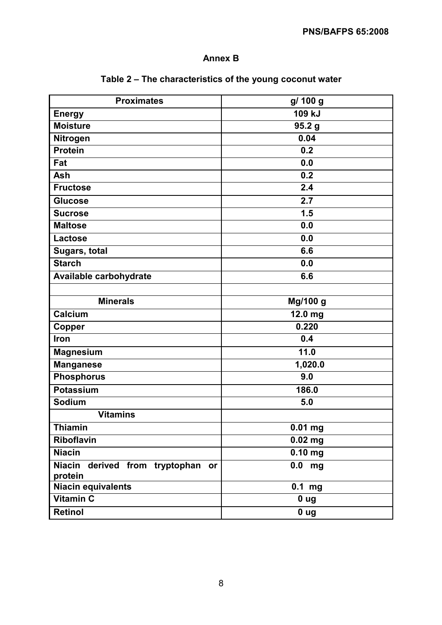# Annex B

| <b>Proximates</b>                            | g/ 100 g              |
|----------------------------------------------|-----------------------|
| <b>Energy</b>                                | 109 kJ                |
| <b>Moisture</b>                              | 95.2 <sub>g</sub>     |
| Nitrogen                                     | 0.04                  |
| <b>Protein</b>                               | 0.2                   |
| Fat                                          | 0.0                   |
| Ash                                          | 0.2                   |
| <b>Fructose</b>                              | 2.4                   |
| <b>Glucose</b>                               | 2.7                   |
| <b>Sucrose</b>                               | 1.5                   |
| <b>Maltose</b>                               | 0.0                   |
| Lactose                                      | 0.0                   |
| Sugars, total                                | 6.6                   |
| <b>Starch</b>                                | 0.0                   |
| Available carbohydrate                       | 6.6                   |
|                                              |                       |
| <b>Minerals</b>                              | Mg/100 g              |
| Calcium                                      | $\overline{1}$ 2.0 mg |
| <b>Copper</b>                                | 0.220                 |
| Iron                                         | 0.4                   |
| <b>Magnesium</b>                             | 11.0                  |
| <b>Manganese</b>                             | 1,020.0               |
| <b>Phosphorus</b>                            | 9.0                   |
| <b>Potassium</b>                             | 186.0                 |
| Sodium                                       | 5.0                   |
| <b>Vitamins</b>                              |                       |
| <b>Thiamin</b>                               | $\overline{0.01}$ mg  |
| Riboflavin                                   | $0.02$ mg             |
| <b>Niacin</b>                                | $0.10$ mg             |
| Niacin derived from tryptophan or<br>protein | $0.0$ mg              |
| <b>Niacin equivalents</b>                    | $0.1$ mg              |
| Vitamin C                                    | 0 <sub>ug</sub>       |
| Retinol                                      | 0 <sub>ug</sub>       |

# Table 2 – The characteristics of the young coconut water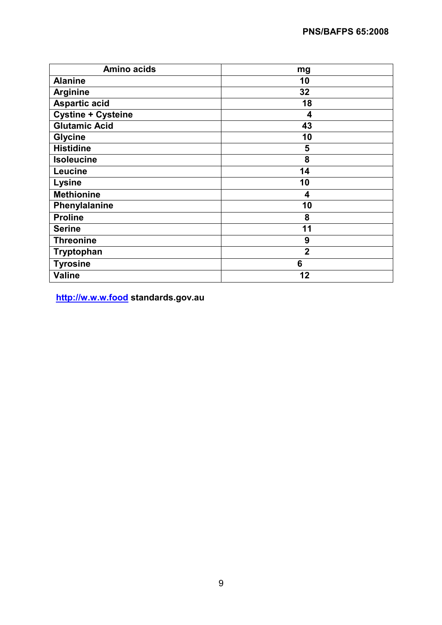| <b>Amino acids</b>   | mg             |
|----------------------|----------------|
| <b>Alanine</b>       | 10             |
| <b>Arginine</b>      | 32             |
| <b>Aspartic acid</b> | 18             |
| Cystine + Cysteine   | 4              |
| <b>Glutamic Acid</b> | 43             |
| <b>Glycine</b>       | 10             |
| <b>Histidine</b>     | 5              |
| <b>Isoleucine</b>    | 8              |
| Leucine              | 14             |
| Lysine               | 10             |
| <b>Methionine</b>    | 4              |
| Phenylalanine        | 10             |
| <b>Proline</b>       | 8              |
| <b>Serine</b>        | 11             |
| <b>Threonine</b>     | 9              |
| Tryptophan           | $\overline{2}$ |
| <b>Tyrosine</b>      | 6              |
| <b>Valine</b>        | 12             |

http://w.w.w.food standards.gov.au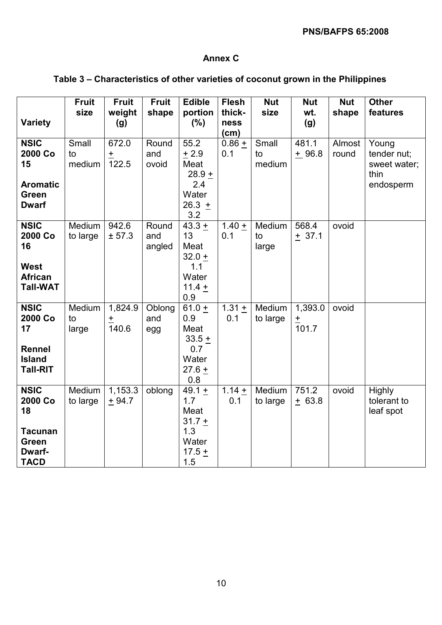#### Annex C

# Table 3 – Characteristics of other varieties of coconut grown in the Philippines

|                                                                                         | <b>Fruit</b><br>size  | <b>Fruit</b><br>weight    | <b>Fruit</b><br>shape  | <b>Edible</b><br>portion                                               | <b>Flesh</b><br>thick- | <b>Nut</b><br>size    | <b>Nut</b><br>wt.             | <b>Nut</b><br>shape | <b>Other</b><br>features                                  |
|-----------------------------------------------------------------------------------------|-----------------------|---------------------------|------------------------|------------------------------------------------------------------------|------------------------|-----------------------|-------------------------------|---------------------|-----------------------------------------------------------|
| Variety                                                                                 |                       | (g)                       |                        | (% )                                                                   | ness<br>(cm)           |                       | (g)                           |                     |                                                           |
| <b>NSIC</b><br>2000 Co<br>15<br><b>Aromatic</b><br>Green<br><b>Dwarf</b>                | Small<br>to<br>medium | 672.0<br>$\pm$<br>122.5   | Round<br>and<br>ovoid  | 55.2<br>$+2.9$<br>Meat<br>$28.9 +$<br>2.4<br>Water<br>26.3 $+$<br>3.2  | $0.86 +$<br>0.1        | Small<br>to<br>medium | 481.1<br>$+96.8$              | Almost<br>round     | Young<br>tender nut;<br>sweet water;<br>thin<br>endosperm |
| <b>NSIC</b><br>2000 Co<br>16<br><b>West</b><br><b>African</b><br><b>Tall-WAT</b>        | Medium<br>to large    | 942.6<br>± 57.3           | Round<br>and<br>angled | $43.3 +$<br>13<br>Meat<br>$32.0 +$<br>1.1<br>Water<br>$11.4 +$<br>0.9  | $1.40 +$<br>0.1        | Medium<br>to<br>large | $568.\overline{4}$<br>$+37.1$ | ovoid               |                                                           |
| <b>NSIC</b><br>2000 Co<br>17<br><b>Rennel</b><br><b>Island</b><br><b>Tall-RIT</b>       | Medium<br>to<br>large | 1,824.9<br>$\pm$<br>140.6 | Oblong<br>and<br>egg   | $61.0 +$<br>0.9<br>Meat<br>$33.5 +$<br>0.7<br>Water<br>$27.6 +$<br>0.8 | $1.31 +$<br>0.1        | Medium<br>to large    | 1,393.0<br>$\pm$<br>101.7     | ovoid               |                                                           |
| <b>NSIC</b><br>2000 Co<br>18<br><b>Tacunan</b><br><b>Green</b><br>Dwarf-<br><b>TACD</b> | Medium<br>to large    | 1,153.3<br>$+94.7$        | oblong                 | $49.1 +$<br>1.7<br>Meat<br>$31.7 +$<br>1.3<br>Water<br>17.5 $+$<br>1.5 | $1.14 +$<br>0.1        | Medium<br>to large    | 751.2<br>$+ 63.8$             | ovoid               | <b>Highly</b><br>tolerant to<br>leaf spot                 |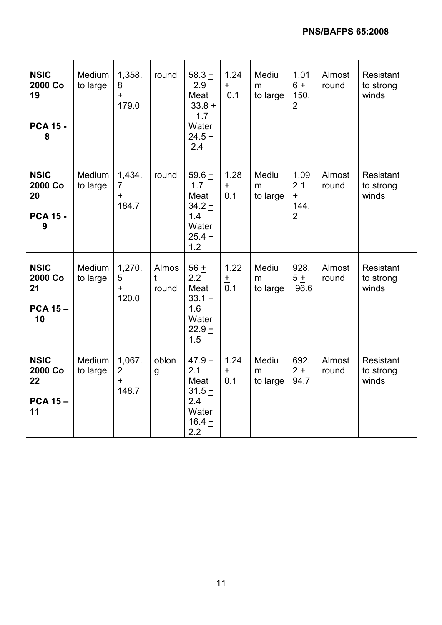| <b>NSIC</b><br>2000 Co<br>19<br><b>PCA 15 -</b><br>8 | Medium<br>to large | 1,358.<br>8<br>$\frac{+}{179.0}$                        | round               | 58.3 $+$<br>2.9<br>Meat<br>$33.8 +$<br>1.7<br>Water<br>$24.5 +$<br>2.4 | 1.24<br>$\pm$<br>0.1    | Mediu<br>m<br>to large | 1,01<br>$6 +$<br>150.<br>$\overline{2}$        | Almost<br>round | Resistant<br>to strong<br>winds |
|------------------------------------------------------|--------------------|---------------------------------------------------------|---------------------|------------------------------------------------------------------------|-------------------------|------------------------|------------------------------------------------|-----------------|---------------------------------|
| <b>NSIC</b><br>2000 Co<br>20<br><b>PCA 15 -</b><br>9 | Medium<br>to large | 1,434.<br>$\overline{7}$<br>$\pm$<br>$\overline{184.7}$ | round               | 59.6 $+$<br>1.7<br>Meat<br>$34.2 +$<br>1.4<br>Water<br>$25.4 +$<br>1.2 | 1.28<br>$\frac{+}{0.1}$ | Mediu<br>m<br>to large | 1,09<br>2.1<br>$\pm$<br>144.<br>$\overline{2}$ | Almost<br>round | Resistant<br>to strong<br>winds |
| <b>NSIC</b><br>2000 Co<br>21<br><b>PCA 15-</b><br>10 | Medium<br>to large | 1,270.<br>5<br>$\pm$<br>120.0                           | Almos<br>t<br>round | $56 +$<br>2.2<br>Meat<br>$33.1 +$<br>1.6<br>Water<br>$22.9 +$<br>1.5   | 1.22<br>$\frac{+}{0.1}$ | Mediu<br>m<br>to large | 928.<br>5±<br>96.6                             | Almost<br>round | Resistant<br>to strong<br>winds |
| <b>NSIC</b><br>2000 Co<br>22<br><b>PCA 15-</b><br>11 | Medium<br>to large | 1,067.<br>$\overline{2}$<br>$\frac{+}{148.7}$           | oblon<br>g          | 47.9 $+$<br>2.1<br>Meat<br>$31.5 +$<br>2.4<br>Water<br>$16.4 +$<br>2.2 | 1.24<br>$\frac{+}{0.1}$ | Mediu<br>m<br>to large | 692.<br>$2 \pm$<br>94.7                        | Almost<br>round | Resistant<br>to strong<br>winds |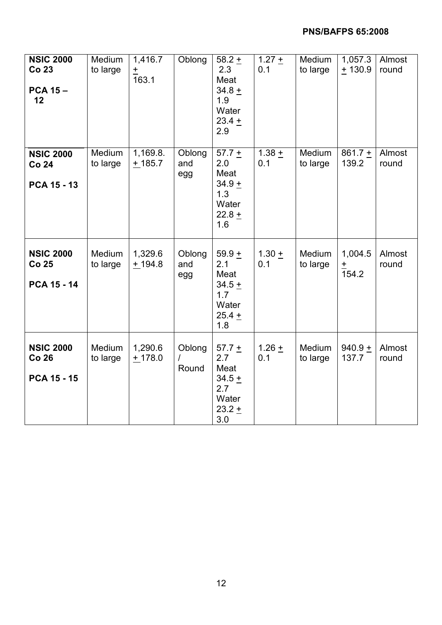| <b>NSIC 2000</b><br>Co 23<br><b>PCA 15-</b><br>12      | Medium<br>to large | 1,416.7<br>$\pm$<br>163.1 | Oblong               | $58.2 +$<br>2.3<br>Meat<br>$34.8 +$<br>1.9<br>Water<br>$23.4 +$<br>2.9           | $1.27 +$<br>0.1            | Medium<br>to large | 1,057.3<br>$+130.9$          | Almost<br>round |
|--------------------------------------------------------|--------------------|---------------------------|----------------------|----------------------------------------------------------------------------------|----------------------------|--------------------|------------------------------|-----------------|
| <b>NSIC 2000</b><br><b>Co 24</b><br>PCA 15 - 13        | Medium<br>to large | 1,169.8.<br>$+185.7$      | Oblong<br>and<br>egg | $\frac{1}{57.7}$ +<br>2.0<br>Meat<br>$34.9 +$<br>1.3<br>Water<br>$22.8 +$<br>1.6 | $\overline{1.38}$ +<br>0.1 | Medium<br>to large | $861.7 +$<br>139.2           | Almost<br>round |
| <b>NSIC 2000</b><br><b>Co 25</b><br><b>PCA 15 - 14</b> | Medium<br>to large | 1,329.6<br>$+194.8$       | Oblong<br>and<br>egg | $59.9 +$<br>2.1<br>Meat<br>$34.5 +$<br>1.7<br>Water<br>$25.4 +$<br>1.8           | $1.30 +$<br>0.1            | Medium<br>to large | 1,004.5<br>$\frac{+}{154.2}$ | Almost<br>round |
| <b>NSIC 2000</b><br><b>Co 26</b><br><b>PCA 15 - 15</b> | Medium<br>to large | 1,290.6<br>$+178.0$       | Oblong<br>T<br>Round | 57.7 $+$<br>2.7<br>Meat<br>$34.5 +$<br>2.7<br>Water<br>$23.2 +$<br>3.0           | $1.26 +$<br>0.1            | Medium<br>to large | 940.9 $+$<br>137.7           | Almost<br>round |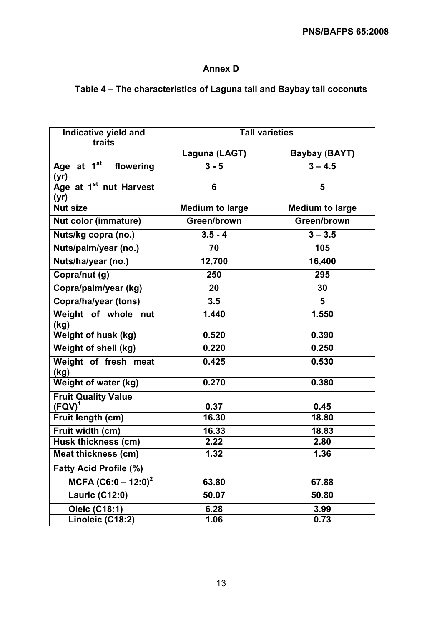### Annex D

# Table 4 – The characteristics of Laguna tall and Baybay tall coconuts

| Indicative yield and<br>traits                  | <b>Tall varieties</b>  |                        |  |  |  |
|-------------------------------------------------|------------------------|------------------------|--|--|--|
|                                                 | Laguna (LAGT)          | <b>Baybay (BAYT)</b>   |  |  |  |
| Age at $1^{\overline{st}}$<br>flowering<br>(yr) | $3 - 5$                | $3 - 4.5$              |  |  |  |
| Age at 1 <sup>st</sup> nut Harvest<br>(yr)      | 6                      | 5                      |  |  |  |
| <b>Nut size</b>                                 | <b>Medium to large</b> | <b>Medium to large</b> |  |  |  |
| <b>Nut color (immature)</b>                     | Green/brown            | Green/brown            |  |  |  |
| Nuts/kg copra (no.)                             | $3.5 - 4$              | $3 - 3.5$              |  |  |  |
| Nuts/palm/year (no.)                            | 70                     | 105                    |  |  |  |
| Nuts/ha/year (no.)                              | 12,700                 | 16,400                 |  |  |  |
| Copra/nut (g)                                   | 250                    | 295                    |  |  |  |
| Copra/palm/year (kg)                            | 20                     | 30                     |  |  |  |
| Copra/ha/year (tons)                            | 3.5                    | $5\phantom{1}$         |  |  |  |
| Weight of whole nut<br>(kg)                     | 1.440                  | 1.550                  |  |  |  |
| <b>Weight of husk (kg)</b>                      | 0.520                  | 0.390                  |  |  |  |
| Weight of shell (kg)                            | 0.220                  | 0.250                  |  |  |  |
| Weight of fresh meat<br>(kg)                    | 0.425                  | 0.530                  |  |  |  |
| Weight of water (kg)                            | 0.270                  | 0.380                  |  |  |  |
| <b>Fruit Quality Value</b><br>$(FQV)^{1}$       | 0.37                   | 0.45                   |  |  |  |
| Fruit length (cm)                               | 16.30                  | 18.80                  |  |  |  |
| Fruit width (cm)                                | 16.33                  | 18.83                  |  |  |  |
| Husk thickness (cm)                             | 2.22                   | 2.80                   |  |  |  |
| Meat thickness (cm)                             | 1.32                   | 1.36                   |  |  |  |
| <b>Fatty Acid Profile (%)</b>                   |                        |                        |  |  |  |
| MCFA $(C6:0 - 12:0)^2$                          | 63.80                  | 67.88                  |  |  |  |
| <b>Lauric (C12:0)</b>                           | 50.07                  | 50.80                  |  |  |  |
| <b>Oleic (C18:1)</b>                            | 6.28                   | 3.99                   |  |  |  |
| Linoleic (C18:2)                                | 1.06                   | 0.73                   |  |  |  |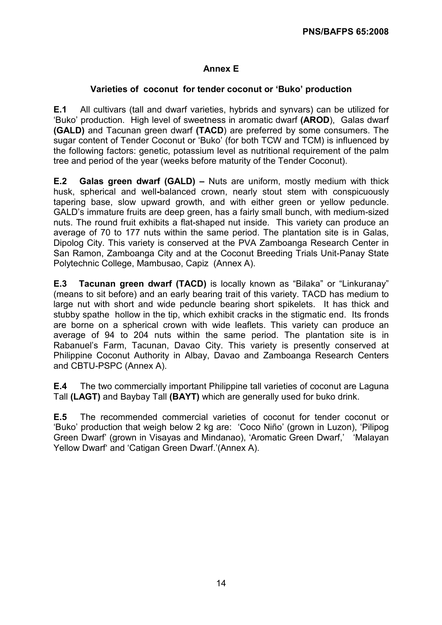#### Annex E

#### Varieties of coconut for tender coconut or 'Buko' production

E.1 All cultivars (tall and dwarf varieties, hybrids and synvars) can be utilized for 'Buko' production. High level of sweetness in aromatic dwarf (AROD), Galas dwarf (GALD) and Tacunan green dwarf (TACD) are preferred by some consumers. The sugar content of Tender Coconut or 'Buko' (for both TCW and TCM) is influenced by the following factors: genetic, potassium level as nutritional requirement of the palm tree and period of the year (weeks before maturity of the Tender Coconut).

E.2 Galas green dwarf (GALD) – Nuts are uniform, mostly medium with thick husk, spherical and well-balanced crown, nearly stout stem with conspicuously tapering base, slow upward growth, and with either green or yellow peduncle. GALD's immature fruits are deep green, has a fairly small bunch, with medium-sized nuts. The round fruit exhibits a flat-shaped nut inside. This variety can produce an average of 70 to 177 nuts within the same period. The plantation site is in Galas, Dipolog City. This variety is conserved at the PVA Zamboanga Research Center in San Ramon, Zamboanga City and at the Coconut Breeding Trials Unit-Panay State Polytechnic College, Mambusao, Capiz (Annex A).

E.3 Tacunan green dwarf (TACD) is locally known as "Bilaka" or "Linkuranay" (means to sit before) and an early bearing trait of this variety. TACD has medium to large nut with short and wide peduncle bearing short spikelets. It has thick and stubby spathe hollow in the tip, which exhibit cracks in the stigmatic end. Its fronds are borne on a spherical crown with wide leaflets. This variety can produce an average of 94 to 204 nuts within the same period. The plantation site is in Rabanuel's Farm, Tacunan, Davao City. This variety is presently conserved at Philippine Coconut Authority in Albay, Davao and Zamboanga Research Centers and CBTU-PSPC (Annex A).

E.4 The two commercially important Philippine tall varieties of coconut are Laguna Tall (LAGT) and Baybay Tall (BAYT) which are generally used for buko drink.

E.5 The recommended commercial varieties of coconut for tender coconut or 'Buko' production that weigh below 2 kg are: 'Coco Niño' (grown in Luzon), 'Pilipog Green Dwarf' (grown in Visayas and Mindanao), 'Aromatic Green Dwarf,' 'Malayan Yellow Dwarf' and 'Catigan Green Dwarf.'(Annex A).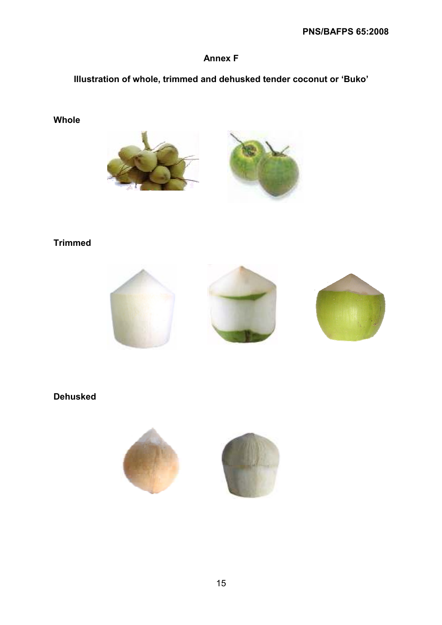# Annex F

# Illustration of whole, trimmed and dehusked tender coconut or 'Buko'

### Whole





# Trimmed



# Dehusked

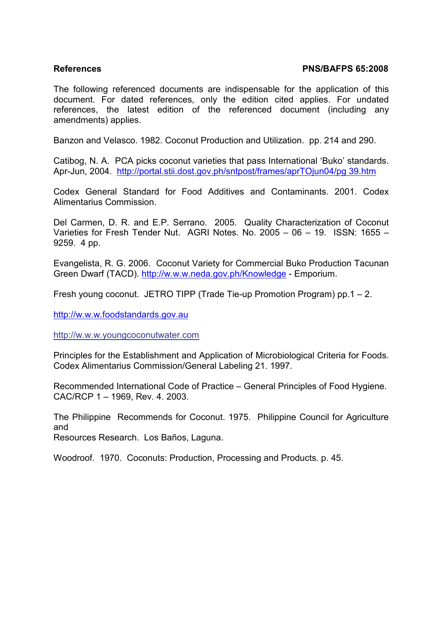#### References PNS/BAFPS 65:2008

The following referenced documents are indispensable for the application of this document. For dated references, only the edition cited applies. For undated references, the latest edition of the referenced document (including any amendments) applies.

Banzon and Velasco. 1982. Coconut Production and Utilization. pp. 214 and 290.

Catibog, N. A. PCA picks coconut varieties that pass International 'Buko' standards. Apr-Jun, 2004. http://portal.stii.dost.gov.ph/sntpost/frames/aprTOjun04/pg 39.htm

Codex General Standard for Food Additives and Contaminants. 2001. Codex Alimentarius Commission.

Del Carmen, D. R. and E.P. Serrano. 2005. Quality Characterization of Coconut Varieties for Fresh Tender Nut. AGRI Notes. No. 2005 – 06 – 19. ISSN: 1655 – 9259. 4 pp.

Evangelista, R. G. 2006. Coconut Variety for Commercial Buko Production Tacunan Green Dwarf (TACD). http://w.w.w.neda.gov.ph/Knowledge - Emporium.

Fresh young coconut. JETRO TIPP (Trade Tie-up Promotion Program) pp.1 – 2.

http://w.w.w.foodstandards.gov.au

http://w.w.w.youngcoconutwater.com

Principles for the Establishment and Application of Microbiological Criteria for Foods. Codex Alimentarius Commission/General Labeling 21. 1997.

Recommended International Code of Practice – General Principles of Food Hygiene. CAC/RCP 1 – 1969, Rev. 4. 2003.

The Philippine Recommends for Coconut. 1975. Philippine Council for Agriculture and

Resources Research. Los Baños, Laguna.

Woodroof. 1970. Coconuts: Production, Processing and Products. p. 45.